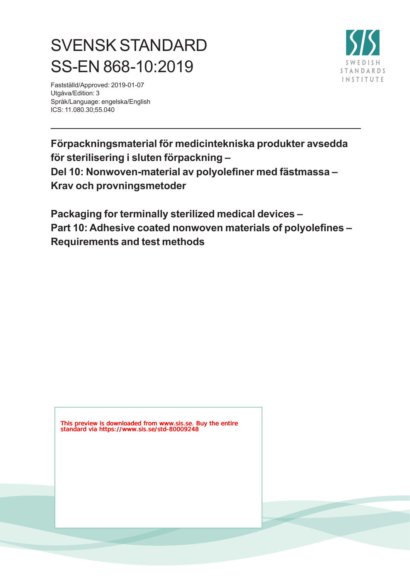# SVENSK STANDARD SS-EN 868-10:2019



Fastställd/Approved: 2019-01-07 Utgåva/Edition: 3 Språk/Language: engelska/English ICS: 11.080.30;55.040

**Förpackningsmaterial för medicintekniska produkter avsedda för sterilisering i sluten förpackning – Del 10: Nonwoven-material av polyolefiner med fästmassa – Krav och provningsmetoder**

**Packaging for terminally sterilized medical devices – Part 10: Adhesive coated nonwoven materials of polyolefines – Requirements and test methods**

This preview is downloaded from www.sis.se. Buy the entire standard via https://www.sis.se/std-80009248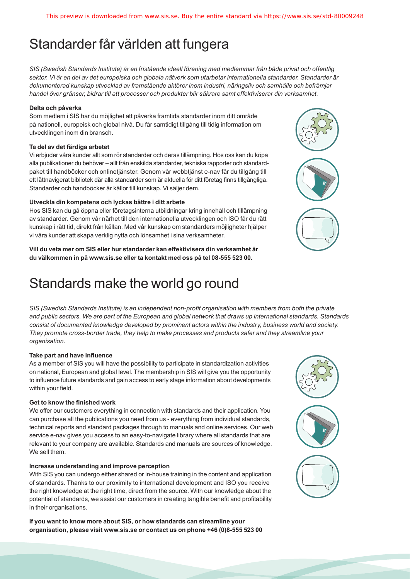# Standarder får världen att fungera

*SIS (Swedish Standards Institute) är en fristående ideell förening med medlemmar från både privat och offentlig sektor. Vi är en del av det europeiska och globala nätverk som utarbetar internationella standarder. Standarder är dokumenterad kunskap utvecklad av framstående aktörer inom industri, näringsliv och samhälle och befrämjar handel över gränser, bidrar till att processer och produkter blir säkrare samt effektiviserar din verksamhet.* 

#### **Delta och påverka**

Som medlem i SIS har du möjlighet att påverka framtida standarder inom ditt område på nationell, europeisk och global nivå. Du får samtidigt tillgång till tidig information om utvecklingen inom din bransch.

#### **Ta del av det färdiga arbetet**

Vi erbjuder våra kunder allt som rör standarder och deras tillämpning. Hos oss kan du köpa alla publikationer du behöver – allt från enskilda standarder, tekniska rapporter och standardpaket till handböcker och onlinetjänster. Genom vår webbtjänst e-nav får du tillgång till ett lättnavigerat bibliotek där alla standarder som är aktuella för ditt företag finns tillgängliga. Standarder och handböcker är källor till kunskap. Vi säljer dem.

#### **Utveckla din kompetens och lyckas bättre i ditt arbete**

Hos SIS kan du gå öppna eller företagsinterna utbildningar kring innehåll och tillämpning av standarder. Genom vår närhet till den internationella utvecklingen och ISO får du rätt kunskap i rätt tid, direkt från källan. Med vår kunskap om standarders möjligheter hjälper vi våra kunder att skapa verklig nytta och lönsamhet i sina verksamheter.

**Vill du veta mer om SIS eller hur standarder kan effektivisera din verksamhet är du välkommen in på www.sis.se eller ta kontakt med oss på tel 08-555 523 00.**

## Standards make the world go round

*SIS (Swedish Standards Institute) is an independent non-profit organisation with members from both the private and public sectors. We are part of the European and global network that draws up international standards. Standards consist of documented knowledge developed by prominent actors within the industry, business world and society. They promote cross-border trade, they help to make processes and products safer and they streamline your organisation.*

#### **Take part and have influence**

As a member of SIS you will have the possibility to participate in standardization activities on national, European and global level. The membership in SIS will give you the opportunity to influence future standards and gain access to early stage information about developments within your field.

#### **Get to know the finished work**

We offer our customers everything in connection with standards and their application. You can purchase all the publications you need from us - everything from individual standards, technical reports and standard packages through to manuals and online services. Our web service e-nav gives you access to an easy-to-navigate library where all standards that are relevant to your company are available. Standards and manuals are sources of knowledge. We sell them.

#### **Increase understanding and improve perception**

With SIS you can undergo either shared or in-house training in the content and application of standards. Thanks to our proximity to international development and ISO you receive the right knowledge at the right time, direct from the source. With our knowledge about the potential of standards, we assist our customers in creating tangible benefit and profitability in their organisations.

**If you want to know more about SIS, or how standards can streamline your organisation, please visit www.sis.se or contact us on phone +46 (0)8-555 523 00**



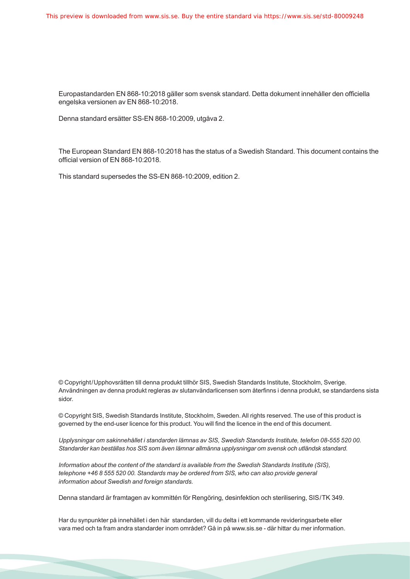Europastandarden EN 868-10:2018 gäller som svensk standard. Detta dokument innehåller den officiella engelska versionen av EN 868-10:2018.

Denna standard ersätter SS-EN 868-10:2009, utgåva 2.

The European Standard EN 868-10:2018 has the status of a Swedish Standard. This document contains the official version of EN 868-10:2018.

This standard supersedes the SS-EN 868-10:2009, edition 2.

© Copyright / Upphovsrätten till denna produkt tillhör SIS, Swedish Standards Institute, Stockholm, Sverige. Användningen av denna produkt regleras av slutanvändarlicensen som återfinns i denna produkt, se standardens sista sidor.

© Copyright SIS, Swedish Standards Institute, Stockholm, Sweden. All rights reserved. The use of this product is governed by the end-user licence for this product. You will find the licence in the end of this document.

*Upplysningar om sakinnehållet i standarden lämnas av SIS, Swedish Standards Institute, telefon 08-555 520 00. Standarder kan beställas hos SIS som även lämnar allmänna upplysningar om svensk och utländsk standard.*

*Information about the content of the standard is available from the Swedish Standards Institute (SIS), telephone +46 8 555 520 00. Standards may be ordered from SIS, who can also provide general information about Swedish and foreign standards.*

Denna standard är framtagen av kommittén för Rengöring, desinfektion och sterilisering, SIS / TK 349.

Har du synpunkter på innehållet i den här standarden, vill du delta i ett kommande revideringsarbete eller vara med och ta fram andra standarder inom området? Gå in på www.sis.se - där hittar du mer information.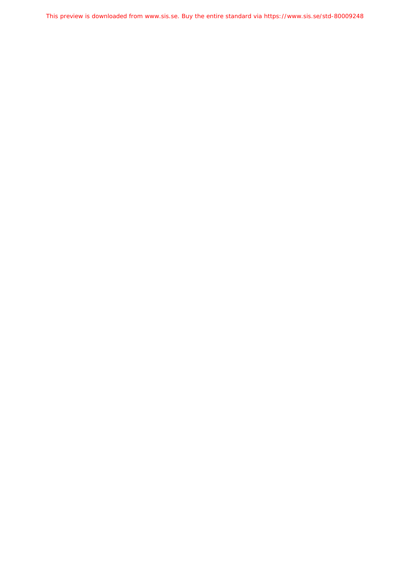This preview is downloaded from www.sis.se. Buy the entire standard via https://www.sis.se/std-80009248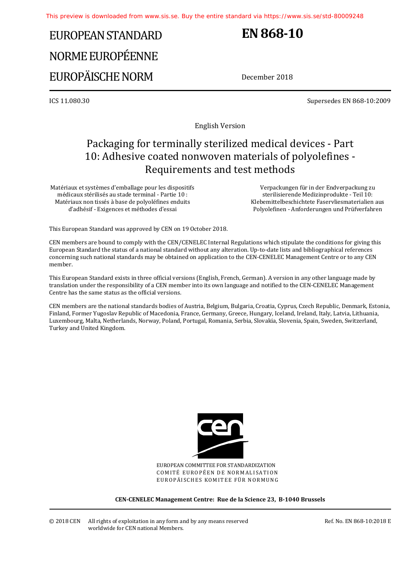# EUROPEAN STANDARD NORME EUROPÉENNE EUROPÄISCHE NORM

## **EN 868-10**

December 2018

ICS 11.080.30 Supersedes EN 868-10:2009

English Version

## Packaging for terminally sterilized medical devices - Part 10: Adhesive coated nonwoven materials of polyolefines - Requirements and test methods

Matériaux et systèmes d'emballage pour les dispositifs médicaux stérilisés au stade terminal - Partie 10 : Matériaux non tissés à base de polyoléfines enduits d'adhésif - Exigences et méthodes d'essai

 Verpackungen für in der Endverpackung zu sterilisierende Medizinprodukte - Teil 10: Klebemittelbeschichtete Faservliesmaterialien aus Polyolefinen - Anforderungen und Prüfverfahren

This European Standard was approved by CEN on 19 October 2018.

CEN members are bound to comply with the CEN/CENELEC Internal Regulations which stipulate the conditions for giving this European Standard the status of a national standard without any alteration. Up-to-date lists and bibliographical references concerning such national standards may be obtained on application to the CEN-CENELEC Management Centre or to any CEN member.

This European Standard exists in three official versions (English, French, German). A version in any other language made by translation under the responsibility of a CEN member into its own language and notified to the CEN-CENELEC Management Centre has the same status as the official versions.

CEN members are the national standards bodies of Austria, Belgium, Bulgaria, Croatia, Cyprus, Czech Republic, Denmark, Estonia, Finland, Former Yugoslav Republic of Macedonia, France, Germany, Greece, Hungary, Iceland, Ireland, Italy, Latvia, Lithuania, Luxembourg, Malta, Netherlands, Norway, Poland, Portugal, Romania, Serbia, Slovakia, Slovenia, Spain, Sweden, Switzerland, Turkey and United Kingdom.



EUROPEAN COMMITTEE FOR STANDARDIZATION COMITÉ EUROPÉEN DE NORMALISATION EUROPÄISCHES KOMITEE FÜR NORMUNG

**CEN-CENELEC Management Centre: Rue de la Science 23, B-1040 Brussels**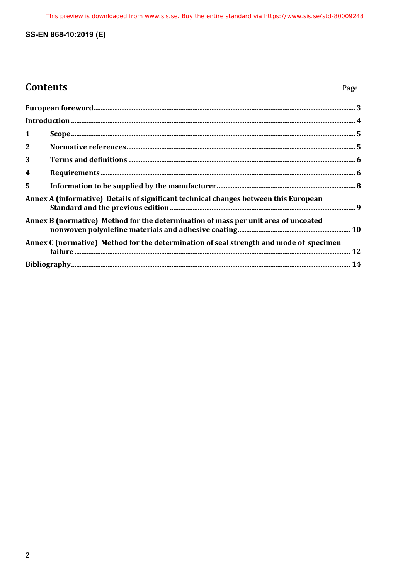## **Contents**

| 1                                                                                    | $\textbf{Scope}\xspace_{\textcolor{red}{\textbf{5}}} \textbf{scope}\xspace_{\textcolor{red}{\textbf{5}}} \textbf{5}$ |  |
|--------------------------------------------------------------------------------------|----------------------------------------------------------------------------------------------------------------------|--|
| $\mathbf{2}$                                                                         |                                                                                                                      |  |
| 3                                                                                    |                                                                                                                      |  |
| $\overline{\mathbf{4}}$                                                              |                                                                                                                      |  |
| $\overline{5}$                                                                       |                                                                                                                      |  |
| Annex A (informative) Details of significant technical changes between this European |                                                                                                                      |  |
|                                                                                      | Annex B (normative) Method for the determination of mass per unit area of uncoated                                   |  |
|                                                                                      | Annex C (normative) Method for the determination of seal strength and mode of specimen                               |  |
|                                                                                      |                                                                                                                      |  |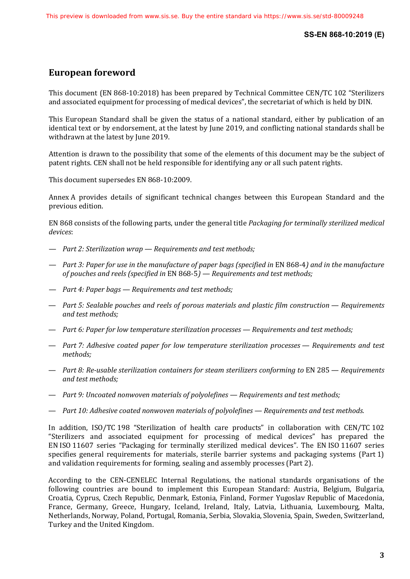### <span id="page-6-0"></span>**European foreword**

This document (EN 868-10:2018) has been prepared by Technical Committee CEN/TC 102 "Sterilizers and associated equipment for processing of medical devices", the secretariat of which is held by DIN.

This European Standard shall be given the status of a national standard, either by publication of an identical text or by endorsement, at the latest by June 2019, and conflicting national standards shall be withdrawn at the latest by June 2019.

Attention is drawn to the possibility that some of the elements of this document may be the subject of patent rights. CEN shall not be held responsible for identifying any or all such patent rights.

This document supersedes EN 868-10:2009.

Annex A provides details of significant technical changes between this European Standard and the previous edition.

EN 868 consists of the following parts, under the general title *Packaging for terminally sterilized medical devices*:

- *Part 2: Sterilization wrap Requirements and test methods;*
- *Part 3: Paper for use in the manufacture of paper bags (specified in* EN 868-4*) and in the manufacture of pouches and reels (specified in* EN 868-5*) — Requirements and test methods;*
- *Part 4: Paper bags Requirements and test methods;*
- *Part 5: Sealable pouches and reels of porous materials and plastic film construction Requirements and test methods;*
- *Part 6: Paper for low temperature sterilization processes Requirements and test methods;*
- *Part 7: Adhesive coated paper for low temperature sterilization processes Requirements and test methods;*
- *Part 8: Re-usable sterilization containers for steam sterilizers conforming to* EN 285 *Requirements and test methods;*
- *Part 9: Uncoated nonwoven materials of polyolefines Requirements and test methods;*
- *Part 10: Adhesive coated nonwoven materials of polyolefines Requirements and test methods.*

In addition, ISO/TC 198 "Sterilization of health care products" in collaboration with CEN/TC 102 "Sterilizers and associated equipment for processing of medical devices" has prepared the EN ISO 11607 series "Packaging for terminally sterilized medical devices". The EN ISO 11607 series specifies general requirements for materials, sterile barrier systems and packaging systems (Part 1) and validation requirements for forming, sealing and assembly processes (Part 2).

According to the CEN-CENELEC Internal Regulations, the national standards organisations of the following countries are bound to implement this European Standard: Austria, Belgium, Bulgaria, Croatia, Cyprus, Czech Republic, Denmark, Estonia, Finland, Former Yugoslav Republic of Macedonia, France, Germany, Greece, Hungary, Iceland, Ireland, Italy, Latvia, Lithuania, Luxembourg, Malta, Netherlands, Norway, Poland, Portugal, Romania, Serbia, Slovakia, Slovenia, Spain, Sweden, Switzerland, Turkey and the United Kingdom.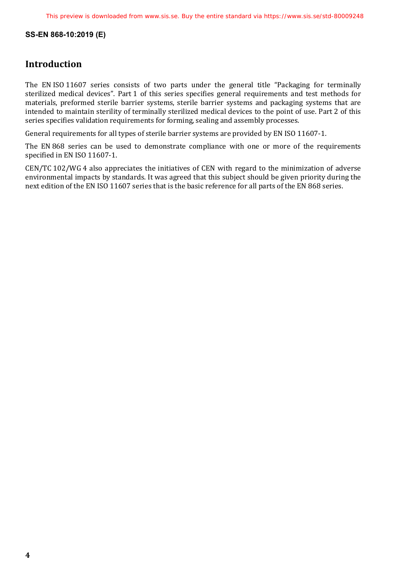### <span id="page-7-0"></span>**Introduction**

The EN ISO 11607 series consists of two parts under the general title "Packaging for terminally sterilized medical devices". Part 1 of this series specifies general requirements and test methods for materials, preformed sterile barrier systems, sterile barrier systems and packaging systems that are intended to maintain sterility of terminally sterilized medical devices to the point of use. Part 2 of this series specifies validation requirements for forming, sealing and assembly processes.

General requirements for all types of sterile barrier systems are provided by EN ISO 11607-1.

The EN 868 series can be used to demonstrate compliance with one or more of the requirements specified in EN ISO 11607-1.

CEN/TC 102/WG 4 also appreciates the initiatives of CEN with regard to the minimization of adverse environmental impacts by standards. It was agreed that this subject should be given priority during the next edition of the EN ISO 11607 series that is the basic reference for all parts of the EN 868 series.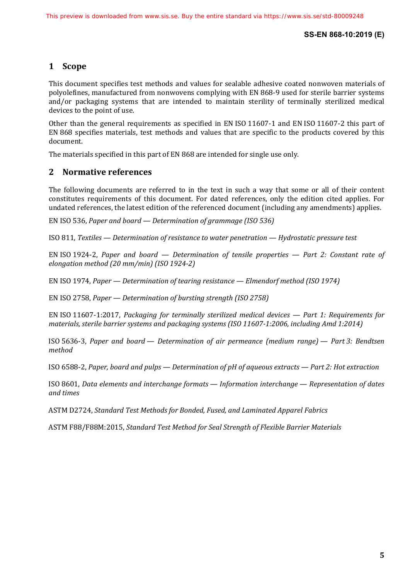#### <span id="page-8-0"></span>**1 Scope**

This document specifies test methods and values for sealable adhesive coated nonwoven materials of polyolefines, manufactured from nonwovens complying with EN 868-9 used for sterile barrier systems and/or packaging systems that are intended to maintain sterility of terminally sterilized medical devices to the point of use.

Other than the general requirements as specified in EN ISO 11607-1 and EN ISO 11607-2 this part of EN 868 specifies materials, test methods and values that are specific to the products covered by this document.

The materials specified in this part of EN 868 are intended for single use only.

#### <span id="page-8-1"></span>**2 Normative references**

The following documents are referred to in the text in such a way that some or all of their content constitutes requirements of this document. For dated references, only the edition cited applies. For undated references, the latest edition of the referenced document (including any amendments) applies.

EN ISO 536, *Paper and board — Determination of grammage (ISO 536)*

ISO 811, *Textiles — Determination of resistance to water penetration — Hydrostatic pressure test*

EN ISO 1924-2, *Paper and board — Determination of tensile properties — Part 2: Constant rate of elongation method (20 mm/min) (ISO 1924-2)*

EN ISO 1974, *Paper — Determination of tearing resistance — Elmendorf method (ISO 1974)*

EN ISO 2758, *Paper — Determination of bursting strength (ISO 2758)*

EN ISO 11607-1:2017, *Packaging for terminally sterilized medical devices — Part 1: Requirements for materials, sterile barrier systems and packaging systems (ISO 11607-1:2006, including Amd 1:2014)*

ISO 5636-3, *Paper and board — Determination of air permeance (medium range) — Part 3: Bendtsen method*

ISO 6588-2, *Paper, board and pulps — Determination of pH of aqueous extracts — Part 2: Hot extraction*

ISO 8601, *Data elements and interchange formats — Information interchange — Representation of dates and times*

ASTM D2724, *Standard Test Methods for Bonded, Fused, and Laminated Apparel Fabrics*

ASTM F88/F88M:2015, *Standard Test Method for Seal Strength of Flexible Barrier Materials*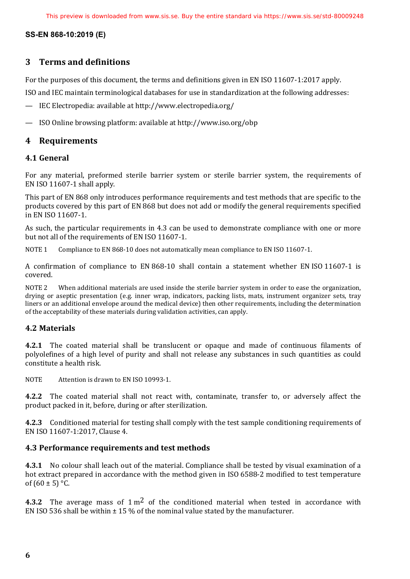#### <span id="page-9-0"></span>**3 Terms and definitions**

For the purposes of this document, the terms and definitions given in EN ISO 11607-1:2017 apply.

ISO and IEC maintain terminological databases for use in standardization at the following addresses:

- IEC Electropedia: available a[t http://www.electropedia.org/](http://www.electropedia.org/)
- ISO Online browsing platform: available at<http://www.iso.org/obp>

#### <span id="page-9-1"></span>**4 Requirements**

#### **4.1 General**

For any material, preformed sterile barrier system or sterile barrier system, the requirements of EN ISO 11607-1 shall apply.

This part of EN 868 only introduces performance requirements and test methods that are specific to the products covered by this part of EN 868 but does not add or modify the general requirements specified in EN ISO 11607-1.

As such, the particular requirements in 4.3 can be used to demonstrate compliance with one or more but not all of the requirements of EN ISO 11607-1.

NOTE 1 Compliance to EN 868-10 does not automatically mean compliance to EN ISO 11607-1.

A confirmation of compliance to EN 868-10 shall contain a statement whether EN ISO 11607-1 is covered.

NOTE 2 When additional materials are used inside the sterile barrier system in order to ease the organization, drying or aseptic presentation (e.g. inner wrap, indicators, packing lists, mats, instrument organizer sets, tray liners or an additional envelope around the medical device) then other requirements, including the determination of the acceptability of these materials during validation activities, can apply.

#### **4.2 Materials**

**4.2.1** The coated material shall be translucent or opaque and made of continuous filaments of polyolefines of a high level of purity and shall not release any substances in such quantities as could constitute a health risk.

NOTE Attention is drawn to EN ISO 10993-1.

**4.2.2** The coated material shall not react with, contaminate, transfer to, or adversely affect the product packed in it, before, during or after sterilization.

**4.2.3** Conditioned material for testing shall comply with the test sample conditioning requirements of EN ISO 11607-1:2017, Clause 4.

#### **4.3 Performance requirements and test methods**

**4.3.1** No colour shall leach out of the material. Compliance shall be tested by visual examination of a hot extract prepared in accordance with the method given in ISO 6588-2 modified to test temperature of  $(60 \pm 5)$  °C.

**4.3.2** The average mass of  $1 \text{ m}^2$  of the conditioned material when tested in accordance with EN ISO 536 shall be within ± 15 % of the nominal value stated by the manufacturer.